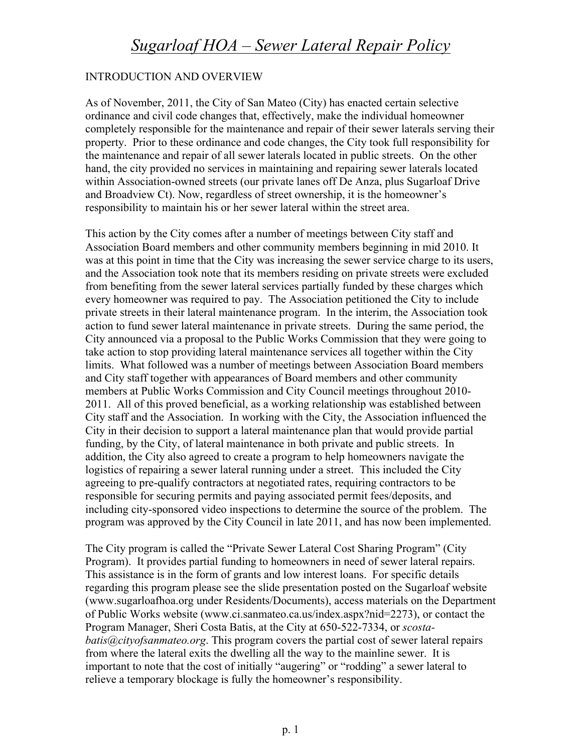## *Sugarloaf HOA – Sewer Lateral Repair Policy*

## INTRODUCTION AND OVERVIEW

As of November, 2011, the City of San Mateo (City) has enacted certain selective ordinance and civil code changes that, effectively, make the individual homeowner completely responsible for the maintenance and repair of their sewer laterals serving their property. Prior to these ordinance and code changes, the City took full responsibility for the maintenance and repair of all sewer laterals located in public streets. On the other hand, the city provided no services in maintaining and repairing sewer laterals located within Association-owned streets (our private lanes off De Anza, plus Sugarloaf Drive and Broadview Ct). Now, regardless of street ownership, it is the homeowner's responsibility to maintain his or her sewer lateral within the street area.

This action by the City comes after a number of meetings between City staff and Association Board members and other community members beginning in mid 2010. It was at this point in time that the City was increasing the sewer service charge to its users, and the Association took note that its members residing on private streets were excluded from benefiting from the sewer lateral services partially funded by these charges which every homeowner was required to pay. The Association petitioned the City to include private streets in their lateral maintenance program. In the interim, the Association took action to fund sewer lateral maintenance in private streets. During the same period, the City announced via a proposal to the Public Works Commission that they were going to take action to stop providing lateral maintenance services all together within the City limits. What followed was a number of meetings between Association Board members and City staff together with appearances of Board members and other community members at Public Works Commission and City Council meetings throughout 2010- 2011. All of this proved beneficial, as a working relationship was established between City staff and the Association. In working with the City, the Association influenced the City in their decision to support a lateral maintenance plan that would provide partial funding, by the City, of lateral maintenance in both private and public streets. In addition, the City also agreed to create a program to help homeowners navigate the logistics of repairing a sewer lateral running under a street. This included the City agreeing to pre-qualify contractors at negotiated rates, requiring contractors to be responsible for securing permits and paying associated permit fees/deposits, and including city-sponsored video inspections to determine the source of the problem. The program was approved by the City Council in late 2011, and has now been implemented.

The City program is called the "Private Sewer Lateral Cost Sharing Program" (City Program). It provides partial funding to homeowners in need of sewer lateral repairs. This assistance is in the form of grants and low interest loans. For specific details regarding this program please see the slide presentation posted on the Sugarloaf website (www.sugarloafhoa.org under Residents/Documents), access materials on the Department of Public Works website (www.ci.sanmateo.ca.us/index.aspx?nid=2273), or contact the Program Manager, Sheri Costa Batis, at the City at 650-522-7334, or *scostabatis@cityofsanmateo.org*. This program covers the partial cost of sewer lateral repairs from where the lateral exits the dwelling all the way to the mainline sewer. It is important to note that the cost of initially "augering" or "rodding" a sewer lateral to relieve a temporary blockage is fully the homeowner's responsibility.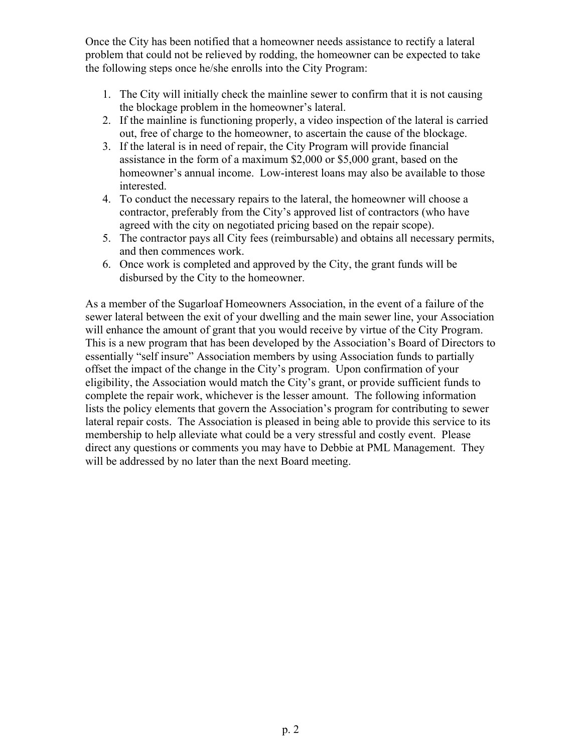Once the City has been notified that a homeowner needs assistance to rectify a lateral problem that could not be relieved by rodding, the homeowner can be expected to take the following steps once he/she enrolls into the City Program:

- 1. The City will initially check the mainline sewer to confirm that it is not causing the blockage problem in the homeowner's lateral.
- 2. If the mainline is functioning properly, a video inspection of the lateral is carried out, free of charge to the homeowner, to ascertain the cause of the blockage.
- 3. If the lateral is in need of repair, the City Program will provide financial assistance in the form of a maximum \$2,000 or \$5,000 grant, based on the homeowner's annual income. Low-interest loans may also be available to those interested.
- 4. To conduct the necessary repairs to the lateral, the homeowner will choose a contractor, preferably from the City's approved list of contractors (who have agreed with the city on negotiated pricing based on the repair scope).
- 5. The contractor pays all City fees (reimbursable) and obtains all necessary permits, and then commences work.
- 6. Once work is completed and approved by the City, the grant funds will be disbursed by the City to the homeowner.

As a member of the Sugarloaf Homeowners Association, in the event of a failure of the sewer lateral between the exit of your dwelling and the main sewer line, your Association will enhance the amount of grant that you would receive by virtue of the City Program. This is a new program that has been developed by the Association's Board of Directors to essentially "self insure" Association members by using Association funds to partially offset the impact of the change in the City's program. Upon confirmation of your eligibility, the Association would match the City's grant, or provide sufficient funds to complete the repair work, whichever is the lesser amount. The following information lists the policy elements that govern the Association's program for contributing to sewer lateral repair costs. The Association is pleased in being able to provide this service to its membership to help alleviate what could be a very stressful and costly event. Please direct any questions or comments you may have to Debbie at PML Management. They will be addressed by no later than the next Board meeting.